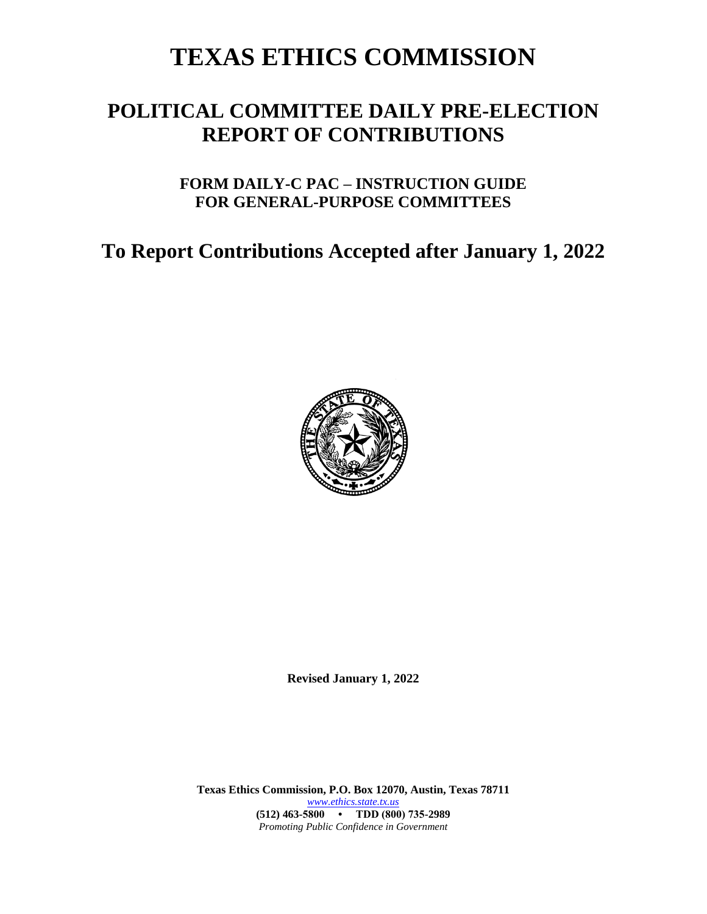# **TEXAS ETHICS COMMISSION**

## **POLITICAL COMMITTEE DAILY PRE-ELECTION REPORT OF CONTRIBUTIONS**

## **FORM DAILY-C PAC – INSTRUCTION GUIDE FOR GENERAL-PURPOSE COMMITTEES**

## **To Report Contributions Accepted after January 1, 2022**



**Revised January 1, 2022**

**Texas Ethics Commission, P.O. Box 12070, Austin, Texas 78711** *[www.ethics.state.tx.us](http://www.ethics.state.tx.us/)* **(512) 463-5800 • TDD (800) 735-2989** *Promoting Public Confidence in Government*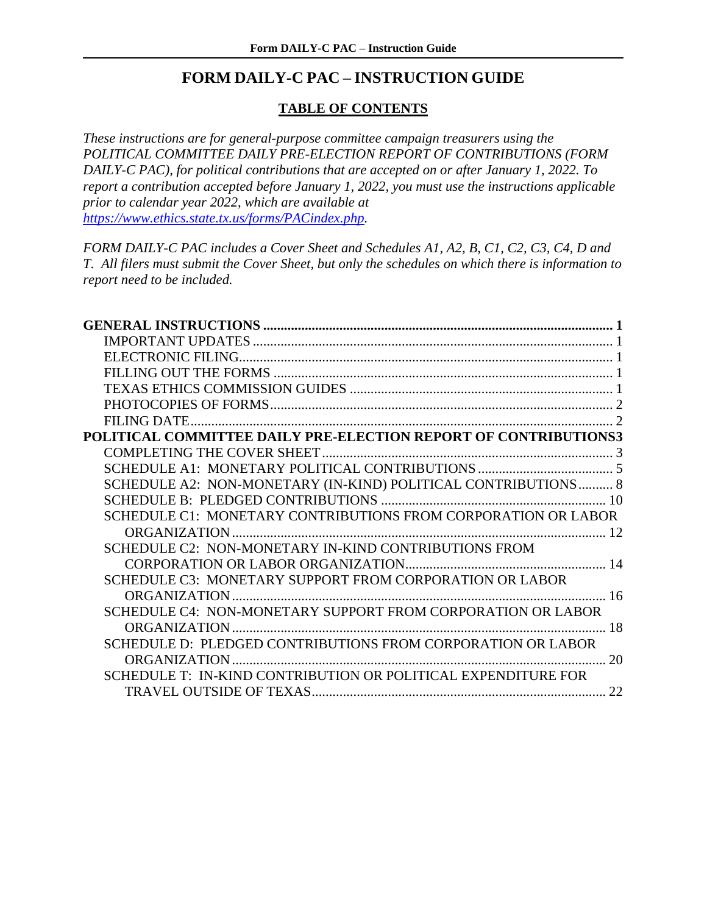### **FORM DAILY-C PAC – INSTRUCTION GUIDE**

#### **TABLE OF CONTENTS**

*These instructions are for general-purpose committee campaign treasurers using the POLITICAL COMMITTEE DAILY PRE-ELECTION REPORT OF CONTRIBUTIONS (FORM DAILY-C PAC), for political contributions that are accepted on or after January 1, 2022. To report a contribution accepted before January 1, 2022, you must use the instructions applicable prior to calendar year 2022, which are available at [https://www.ethics.state.tx.us/forms/PACindex.php.](https://www.ethics.state.tx.us/forms/PACindex.php)*

*FORM DAILY-C PAC includes a Cover Sheet and Schedules A1, A2, B, C1, C2, C3, C4, D and T. All filers must submit the Cover Sheet, but only the schedules on which there is information to report need to be included.*

| POLITICAL COMMITTEE DAILY PRE-ELECTION REPORT OF CONTRIBUTIONS3 |  |
|-----------------------------------------------------------------|--|
|                                                                 |  |
|                                                                 |  |
| SCHEDULE A2: NON-MONETARY (IN-KIND) POLITICAL CONTRIBUTIONS 8   |  |
|                                                                 |  |
| SCHEDULE C1: MONETARY CONTRIBUTIONS FROM CORPORATION OR LABOR   |  |
|                                                                 |  |
| SCHEDULE C2: NON-MONETARY IN-KIND CONTRIBUTIONS FROM            |  |
|                                                                 |  |
| SCHEDULE C3: MONETARY SUPPORT FROM CORPORATION OR LABOR         |  |
|                                                                 |  |
| SCHEDULE C4: NON-MONETARY SUPPORT FROM CORPORATION OR LABOR     |  |
| 18                                                              |  |
| SCHEDULE D: PLEDGED CONTRIBUTIONS FROM CORPORATION OR LABOR     |  |
| 20                                                              |  |
| SCHEDULE T: IN-KIND CONTRIBUTION OR POLITICAL EXPENDITURE FOR   |  |
|                                                                 |  |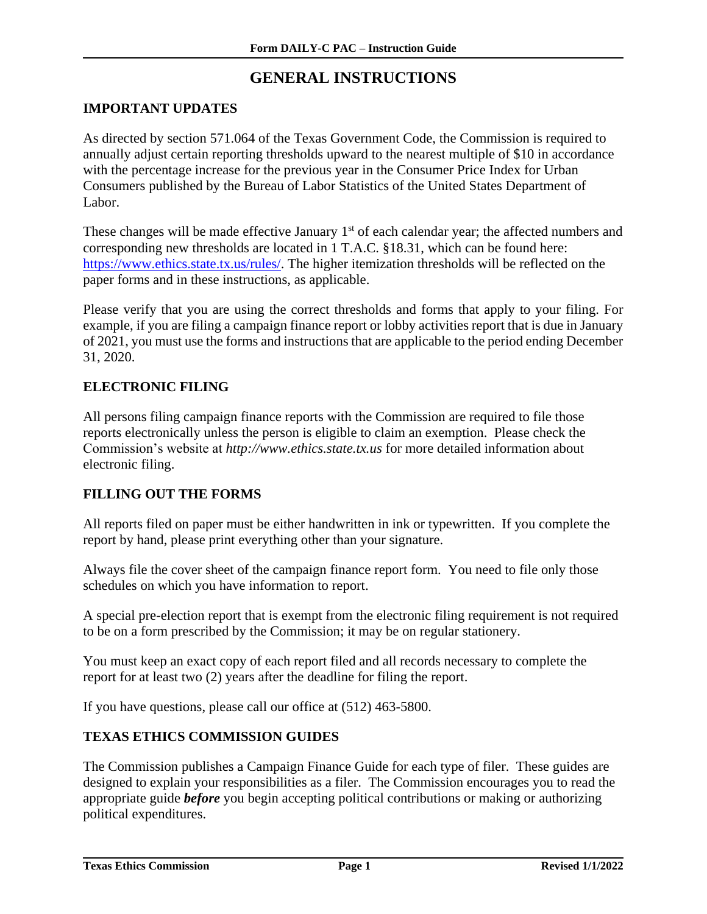## **GENERAL INSTRUCTIONS**

#### <span id="page-2-1"></span><span id="page-2-0"></span>**IMPORTANT UPDATES**

As directed by section 571.064 of the Texas Government Code, the Commission is required to annually adjust certain reporting thresholds upward to the nearest multiple of \$10 in accordance with the percentage increase for the previous year in the Consumer Price Index for Urban Consumers published by the Bureau of Labor Statistics of the United States Department of Labor.

These changes will be made effective January 1<sup>st</sup> of each calendar year; the affected numbers and corresponding new thresholds are located in 1 T.A.C. §18.31, which can be found here: [https://www.ethics.state.tx.us/rules/.](https://www.ethics.state.tx.us/rules/) The higher itemization thresholds will be reflected on the paper forms and in these instructions, as applicable.

Please verify that you are using the correct thresholds and forms that apply to your filing. For example, if you are filing a campaign finance report or lobby activities report that is due in January of 2021, you must use the forms and instructions that are applicable to the period ending December 31, 2020.

#### <span id="page-2-2"></span>**ELECTRONIC FILING**

All persons filing campaign finance reports with the Commission are required to file those reports electronically unless the person is eligible to claim an exemption. Please check the Commission's website at *http://www.ethics.state.tx.us* for more detailed information about electronic filing.

#### <span id="page-2-3"></span>**FILLING OUT THE FORMS**

All reports filed on paper must be either handwritten in ink or typewritten. If you complete the report by hand, please print everything other than your signature.

Always file the cover sheet of the campaign finance report form. You need to file only those schedules on which you have information to report.

A special pre-election report that is exempt from the electronic filing requirement is not required to be on a form prescribed by the Commission; it may be on regular stationery.

You must keep an exact copy of each report filed and all records necessary to complete the report for at least two (2) years after the deadline for filing the report.

If you have questions, please call our office at (512) 463-5800.

#### <span id="page-2-4"></span>**TEXAS ETHICS COMMISSION GUIDES**

The Commission publishes a Campaign Finance Guide for each type of filer. These guides are designed to explain your responsibilities as a filer. The Commission encourages you to read the appropriate guide *before* you begin accepting political contributions or making or authorizing political expenditures.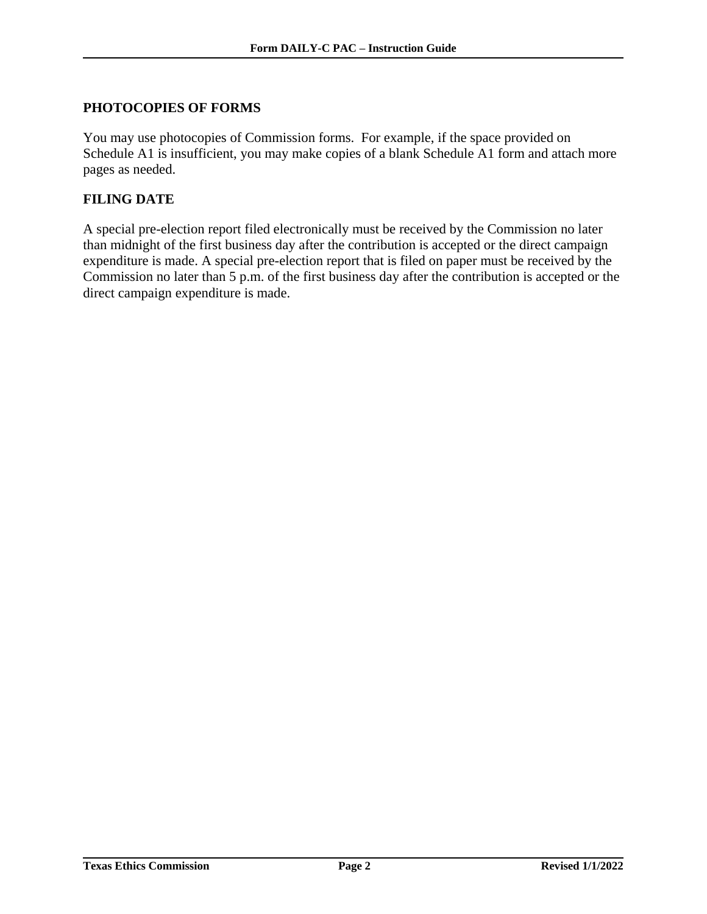#### <span id="page-3-0"></span>**PHOTOCOPIES OF FORMS**

You may use photocopies of Commission forms. For example, if the space provided on Schedule A1 is insufficient, you may make copies of a blank Schedule A1 form and attach more pages as needed.

#### <span id="page-3-1"></span>**FILING DATE**

A special pre-election report filed electronically must be received by the Commission no later than midnight of the first business day after the contribution is accepted or the direct campaign expenditure is made. A special pre-election report that is filed on paper must be received by the Commission no later than 5 p.m. of the first business day after the contribution is accepted or the direct campaign expenditure is made.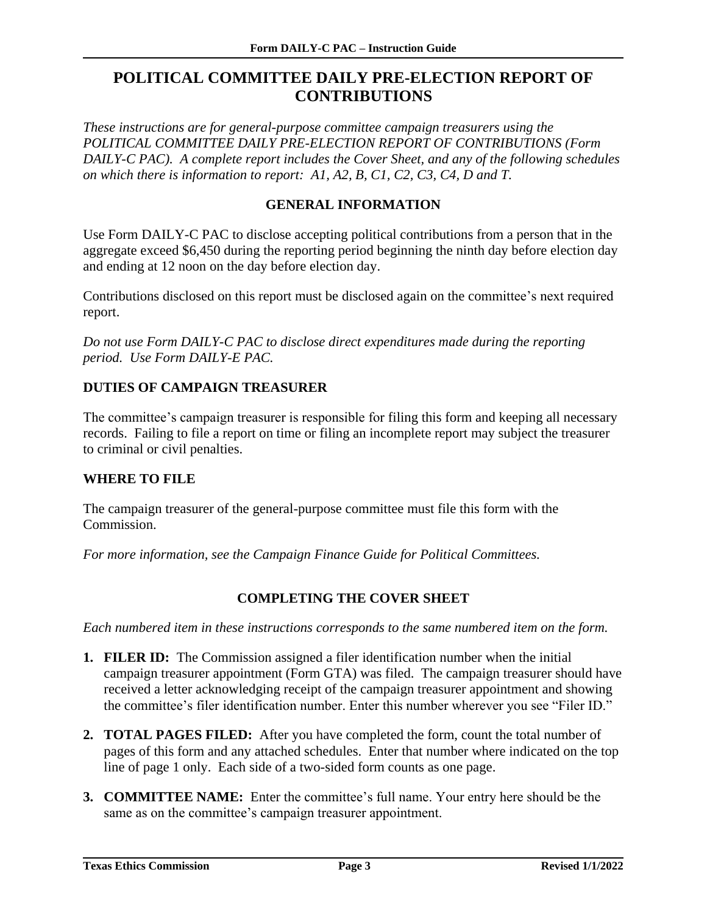## <span id="page-4-0"></span>**POLITICAL COMMITTEE DAILY PRE-ELECTION REPORT OF CONTRIBUTIONS**

*These instructions are for general-purpose committee campaign treasurers using the POLITICAL COMMITTEE DAILY PRE-ELECTION REPORT OF CONTRIBUTIONS (Form DAILY-C PAC). A complete report includes the Cover Sheet, and any of the following schedules on which there is information to report: A1, A2, B, C1, C2, C3, C4, D and T.*

#### **GENERAL INFORMATION**

Use Form DAILY-C PAC to disclose accepting political contributions from a person that in the aggregate exceed \$6,450 during the reporting period beginning the ninth day before election day and ending at 12 noon on the day before election day.

Contributions disclosed on this report must be disclosed again on the committee's next required report.

*Do not use Form DAILY-C PAC to disclose direct expenditures made during the reporting period. Use Form DAILY-E PAC.*

#### **DUTIES OF CAMPAIGN TREASURER**

The committee's campaign treasurer is responsible for filing this form and keeping all necessary records. Failing to file a report on time or filing an incomplete report may subject the treasurer to criminal or civil penalties.

#### **WHERE TO FILE**

The campaign treasurer of the general-purpose committee must file this form with the Commission.

<span id="page-4-1"></span>*For more information, see the Campaign Finance Guide for Political Committees.*

#### **COMPLETING THE COVER SHEET**

- **1. FILER ID:** The Commission assigned a filer identification number when the initial campaign treasurer appointment (Form GTA) was filed. The campaign treasurer should have received a letter acknowledging receipt of the campaign treasurer appointment and showing the committee's filer identification number. Enter this number wherever you see "Filer ID."
- **2. TOTAL PAGES FILED:** After you have completed the form, count the total number of pages of this form and any attached schedules. Enter that number where indicated on the top line of page 1 only. Each side of a two-sided form counts as one page.
- **3. COMMITTEE NAME:** Enter the committee's full name. Your entry here should be the same as on the committee's campaign treasurer appointment.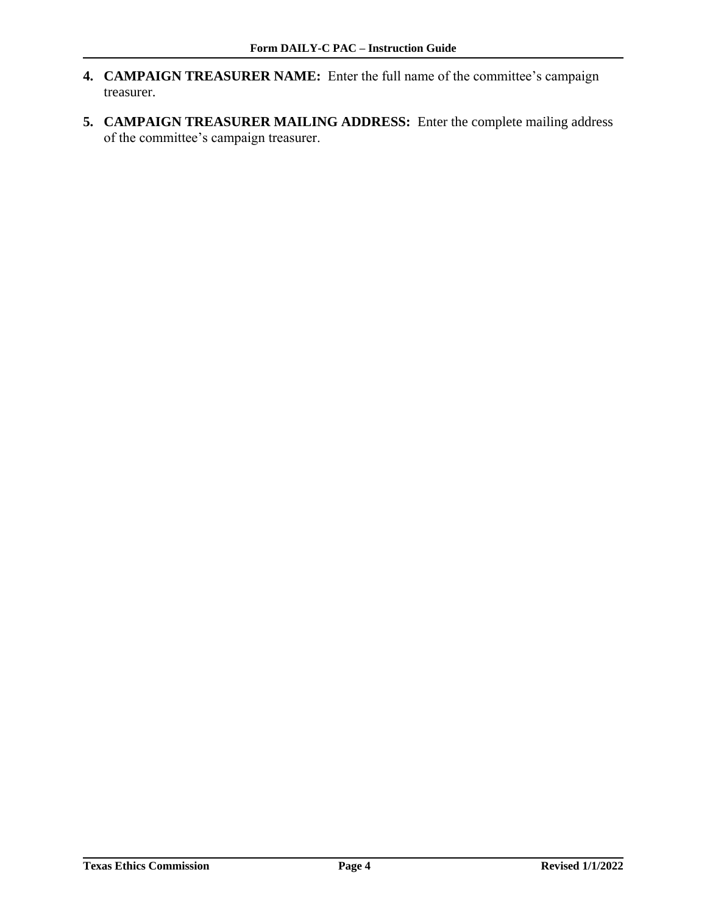- **4. CAMPAIGN TREASURER NAME:** Enter the full name of the committee's campaign treasurer.
- **5. CAMPAIGN TREASURER MAILING ADDRESS:** Enter the complete mailing address of the committee's campaign treasurer.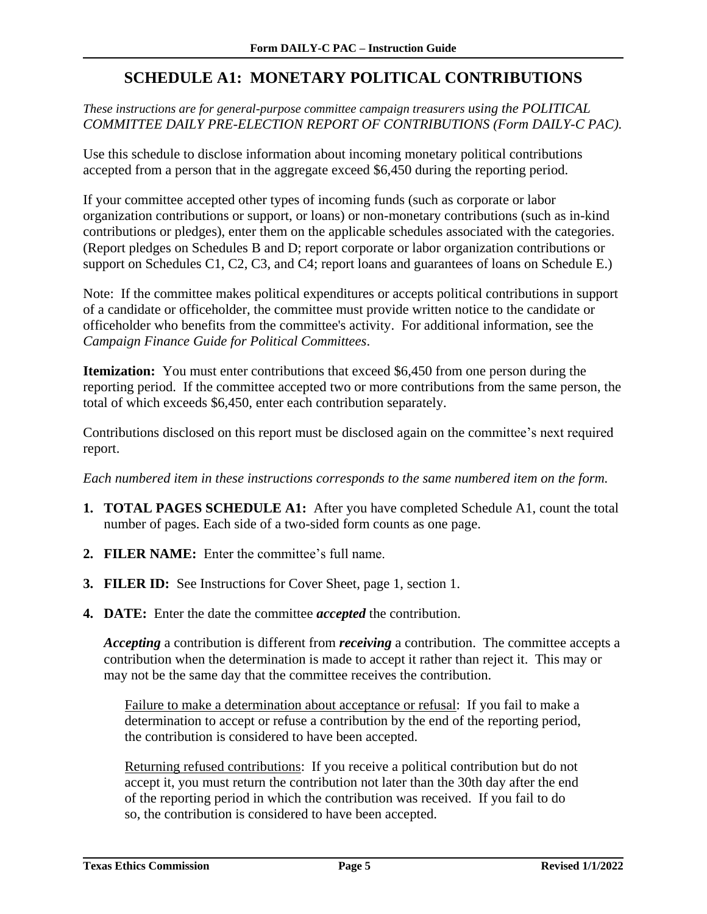## **SCHEDULE A1: MONETARY POLITICAL CONTRIBUTIONS**

#### <span id="page-6-0"></span>*These instructions are for general-purpose committee campaign treasurers using the POLITICAL COMMITTEE DAILY PRE-ELECTION REPORT OF CONTRIBUTIONS (Form DAILY-C PAC).*

Use this schedule to disclose information about incoming monetary political contributions accepted from a person that in the aggregate exceed \$6,450 during the reporting period.

If your committee accepted other types of incoming funds (such as corporate or labor organization contributions or support, or loans) or non-monetary contributions (such as in-kind contributions or pledges), enter them on the applicable schedules associated with the categories. (Report pledges on Schedules B and D; report corporate or labor organization contributions or support on Schedules C1, C2, C3, and C4; report loans and guarantees of loans on Schedule E.)

Note:If the committee makes political expenditures or accepts political contributions in support of a candidate or officeholder, the committee must provide written notice to the candidate or officeholder who benefits from the committee's activity. For additional information, see the *Campaign Finance Guide for Political Committees*.

**Itemization:** You must enter contributions that exceed \$6,450 from one person during the reporting period. If the committee accepted two or more contributions from the same person, the total of which exceeds \$6,450, enter each contribution separately.

Contributions disclosed on this report must be disclosed again on the committee's next required report.

*Each numbered item in these instructions corresponds to the same numbered item on the form.*

- **1. TOTAL PAGES SCHEDULE A1:** After you have completed Schedule A1, count the total number of pages. Each side of a two-sided form counts as one page.
- **2. FILER NAME:** Enter the committee's full name.
- **3. FILER ID:** See Instructions for Cover Sheet, page 1, section 1.
- **4. DATE:** Enter the date the committee *accepted* the contribution.

*Accepting* a contribution is different from *receiving* a contribution. The committee accepts a contribution when the determination is made to accept it rather than reject it. This may or may not be the same day that the committee receives the contribution.

Failure to make a determination about acceptance or refusal: If you fail to make a determination to accept or refuse a contribution by the end of the reporting period, the contribution is considered to have been accepted.

Returning refused contributions: If you receive a political contribution but do not accept it, you must return the contribution not later than the 30th day after the end of the reporting period in which the contribution was received. If you fail to do so, the contribution is considered to have been accepted.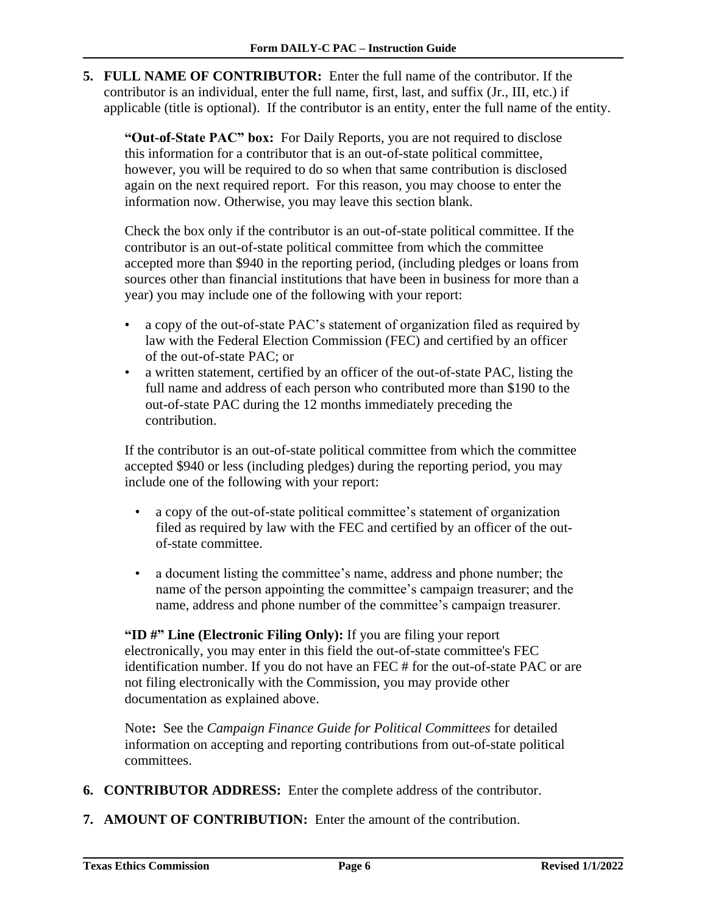**5. FULL NAME OF CONTRIBUTOR:** Enter the full name of the contributor. If the contributor is an individual, enter the full name, first, last, and suffix (Jr., III, etc.) if applicable (title is optional). If the contributor is an entity, enter the full name of the entity.

**"Out-of-State PAC" box:** For Daily Reports, you are not required to disclose this information for a contributor that is an out-of-state political committee, however, you will be required to do so when that same contribution is disclosed again on the next required report. For this reason, you may choose to enter the information now. Otherwise, you may leave this section blank.

Check the box only if the contributor is an out-of-state political committee. If the contributor is an out-of-state political committee from which the committee accepted more than \$940 in the reporting period, (including pledges or loans from sources other than financial institutions that have been in business for more than a year) you may include one of the following with your report:

- a copy of the out-of-state PAC's statement of organization filed as required by law with the Federal Election Commission (FEC) and certified by an officer of the out-of-state PAC; or
- a written statement, certified by an officer of the out-of-state PAC, listing the full name and address of each person who contributed more than \$190 to the out-of-state PAC during the 12 months immediately preceding the contribution.

If the contributor is an out-of-state political committee from which the committee accepted \$940 or less (including pledges) during the reporting period, you may include one of the following with your report:

- a copy of the out-of-state political committee's statement of organization filed as required by law with the FEC and certified by an officer of the outof-state committee.
- a document listing the committee's name, address and phone number; the name of the person appointing the committee's campaign treasurer; and the name, address and phone number of the committee's campaign treasurer.

**"ID #" Line (Electronic Filing Only):** If you are filing your report electronically, you may enter in this field the out-of-state committee's FEC identification number. If you do not have an FEC # for the out-of-state PAC or are not filing electronically with the Commission, you may provide other documentation as explained above.

Note**:** See the *Campaign Finance Guide for Political Committees* for detailed information on accepting and reporting contributions from out-of-state political committees.

- **6. CONTRIBUTOR ADDRESS:** Enter the complete address of the contributor.
- **7. AMOUNT OF CONTRIBUTION:** Enter the amount of the contribution.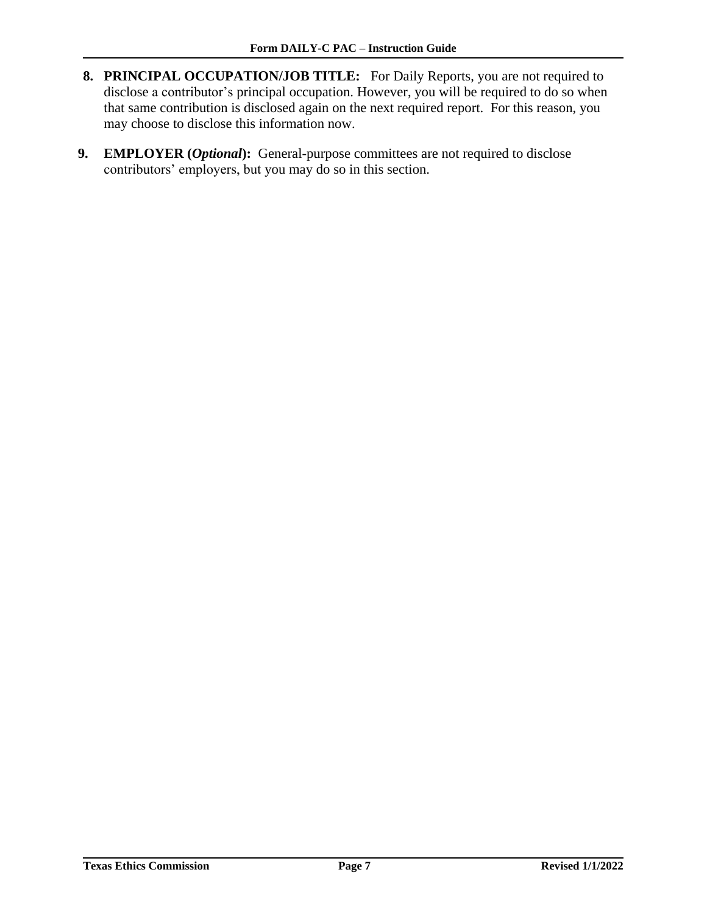- **8. PRINCIPAL OCCUPATION/JOB TITLE:** For Daily Reports, you are not required to disclose a contributor's principal occupation. However, you will be required to do so when that same contribution is disclosed again on the next required report. For this reason, you may choose to disclose this information now.
- **9. EMPLOYER (***Optional***):** General-purpose committees are not required to disclose contributors' employers, but you may do so in this section.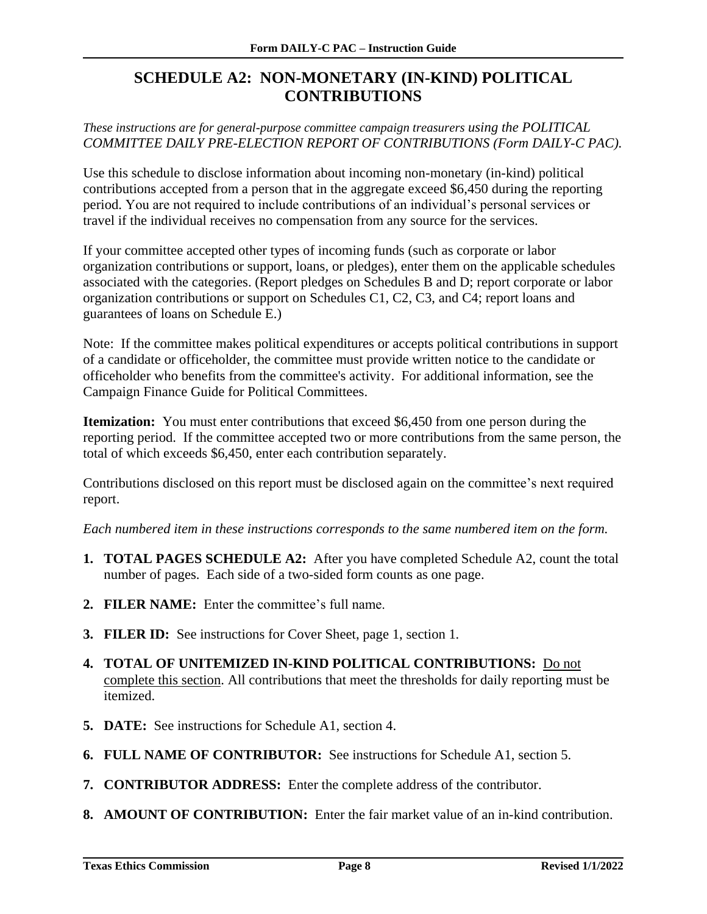## <span id="page-9-0"></span>**SCHEDULE A2: NON-MONETARY (IN-KIND) POLITICAL CONTRIBUTIONS**

*These instructions are for general-purpose committee campaign treasurers using the POLITICAL COMMITTEE DAILY PRE-ELECTION REPORT OF CONTRIBUTIONS (Form DAILY-C PAC).*

Use this schedule to disclose information about incoming non-monetary (in-kind) political contributions accepted from a person that in the aggregate exceed \$6,450 during the reporting period. You are not required to include contributions of an individual's personal services or travel if the individual receives no compensation from any source for the services.

If your committee accepted other types of incoming funds (such as corporate or labor organization contributions or support, loans, or pledges), enter them on the applicable schedules associated with the categories. (Report pledges on Schedules B and D; report corporate or labor organization contributions or support on Schedules C1, C2, C3, and C4; report loans and guarantees of loans on Schedule E.)

Note:If the committee makes political expenditures or accepts political contributions in support of a candidate or officeholder, the committee must provide written notice to the candidate or officeholder who benefits from the committee's activity. For additional information, see the Campaign Finance Guide for Political Committees.

**Itemization:** You must enter contributions that exceed \$6,450 from one person during the reporting period. If the committee accepted two or more contributions from the same person, the total of which exceeds \$6,450, enter each contribution separately.

Contributions disclosed on this report must be disclosed again on the committee's next required report.

- **1. TOTAL PAGES SCHEDULE A2:** After you have completed Schedule A2, count the total number of pages. Each side of a two-sided form counts as one page.
- **2. FILER NAME:** Enter the committee's full name.
- **3. FILER ID:** See instructions for Cover Sheet, page 1, section 1*.*
- **4. TOTAL OF UNITEMIZED IN-KIND POLITICAL CONTRIBUTIONS:** Do not complete this section. All contributions that meet the thresholds for daily reporting must be itemized.
- **5. DATE:** See instructions for Schedule A1, section 4.
- **6. FULL NAME OF CONTRIBUTOR:** See instructions for Schedule A1, section 5.
- **7. CONTRIBUTOR ADDRESS:** Enter the complete address of the contributor.
- **8. AMOUNT OF CONTRIBUTION:** Enter the fair market value of an in-kind contribution.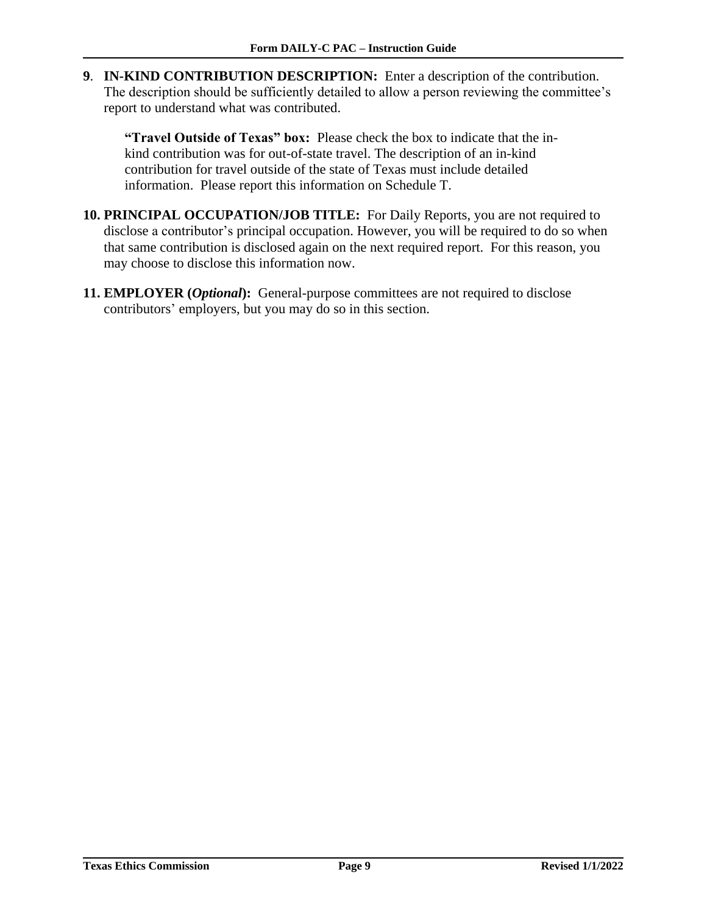**9**. **IN-KIND CONTRIBUTION DESCRIPTION:** Enter a description of the contribution. The description should be sufficiently detailed to allow a person reviewing the committee's report to understand what was contributed.

**"Travel Outside of Texas" box:** Please check the box to indicate that the inkind contribution was for out-of-state travel. The description of an in-kind contribution for travel outside of the state of Texas must include detailed information. Please report this information on Schedule T.

- **10. PRINCIPAL OCCUPATION/JOB TITLE:** For Daily Reports, you are not required to disclose a contributor's principal occupation. However, you will be required to do so when that same contribution is disclosed again on the next required report. For this reason, you may choose to disclose this information now.
- **11. EMPLOYER (***Optional***):** General-purpose committees are not required to disclose contributors' employers, but you may do so in this section.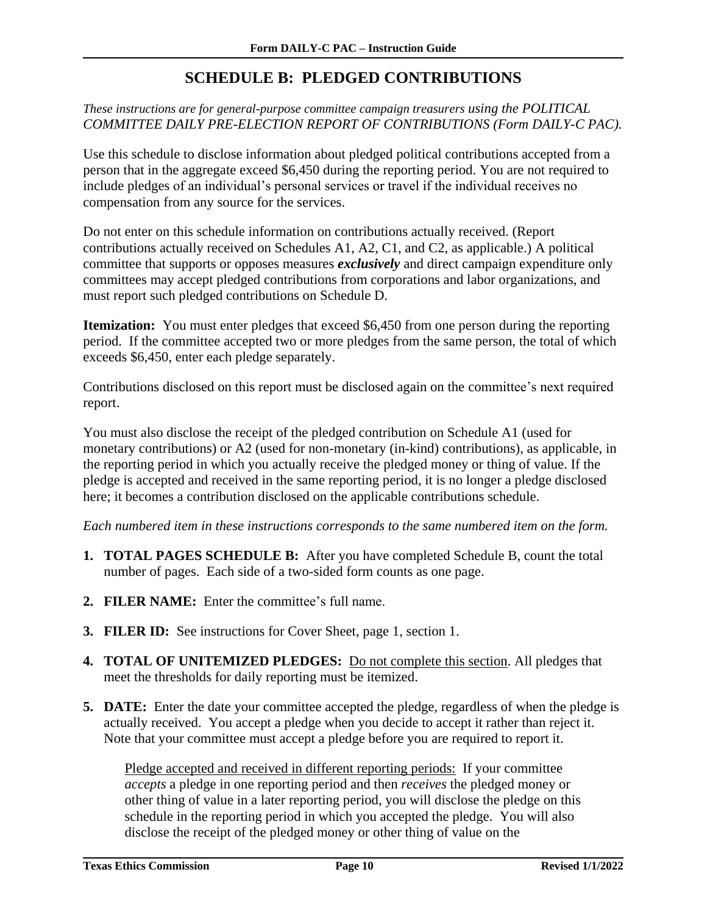## **SCHEDULE B: PLEDGED CONTRIBUTIONS**

#### <span id="page-11-0"></span>*These instructions are for general-purpose committee campaign treasurers using the POLITICAL COMMITTEE DAILY PRE-ELECTION REPORT OF CONTRIBUTIONS (Form DAILY-C PAC).*

Use this schedule to disclose information about pledged political contributions accepted from a person that in the aggregate exceed \$6,450 during the reporting period. You are not required to include pledges of an individual's personal services or travel if the individual receives no compensation from any source for the services.

Do not enter on this schedule information on contributions actually received. (Report contributions actually received on Schedules A1, A2, C1, and C2, as applicable.) A political committee that supports or opposes measures *exclusively* and direct campaign expenditure only committees may accept pledged contributions from corporations and labor organizations, and must report such pledged contributions on Schedule D.

**Itemization:** You must enter pledges that exceed \$6,450 from one person during the reporting period. If the committee accepted two or more pledges from the same person, the total of which exceeds \$6,450, enter each pledge separately.

Contributions disclosed on this report must be disclosed again on the committee's next required report.

You must also disclose the receipt of the pledged contribution on Schedule A1 (used for monetary contributions) or A2 (used for non-monetary (in-kind) contributions), as applicable, in the reporting period in which you actually receive the pledged money or thing of value. If the pledge is accepted and received in the same reporting period, it is no longer a pledge disclosed here; it becomes a contribution disclosed on the applicable contributions schedule.

*Each numbered item in these instructions corresponds to the same numbered item on the form.*

- **1. TOTAL PAGES SCHEDULE B:** After you have completed Schedule B, count the total number of pages. Each side of a two-sided form counts as one page.
- **2. FILER NAME:** Enter the committee's full name.
- **3. FILER ID:** See instructions for Cover Sheet, page 1, section 1.
- **4. TOTAL OF UNITEMIZED PLEDGES:** Do not complete this section. All pledges that meet the thresholds for daily reporting must be itemized.
- **5. DATE:** Enter the date your committee accepted the pledge, regardless of when the pledge is actually received. You accept a pledge when you decide to accept it rather than reject it. Note that your committee must accept a pledge before you are required to report it.

Pledge accepted and received in different reporting periods: If your committee *accepts* a pledge in one reporting period and then *receives* the pledged money or other thing of value in a later reporting period, you will disclose the pledge on this schedule in the reporting period in which you accepted the pledge. You will also disclose the receipt of the pledged money or other thing of value on the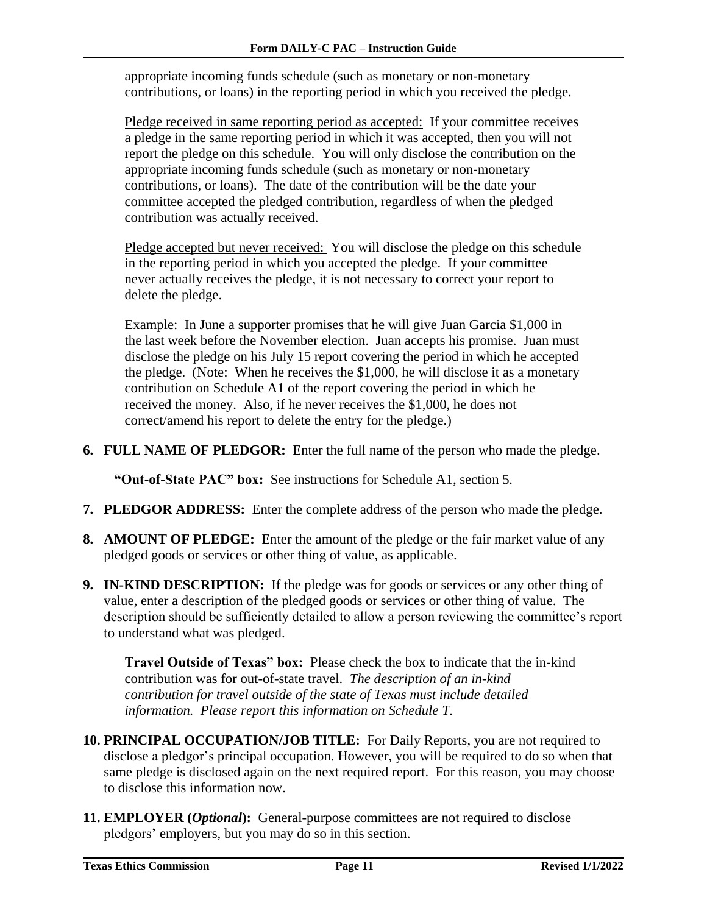appropriate incoming funds schedule (such as monetary or non-monetary contributions, or loans) in the reporting period in which you received the pledge.

Pledge received in same reporting period as accepted: If your committee receives a pledge in the same reporting period in which it was accepted, then you will not report the pledge on this schedule. You will only disclose the contribution on the appropriate incoming funds schedule (such as monetary or non-monetary contributions, or loans). The date of the contribution will be the date your committee accepted the pledged contribution, regardless of when the pledged contribution was actually received.

Pledge accepted but never received: You will disclose the pledge on this schedule in the reporting period in which you accepted the pledge. If your committee never actually receives the pledge, it is not necessary to correct your report to delete the pledge.

Example: In June a supporter promises that he will give Juan Garcia \$1,000 in the last week before the November election. Juan accepts his promise. Juan must disclose the pledge on his July 15 report covering the period in which he accepted the pledge. (Note: When he receives the \$1,000, he will disclose it as a monetary contribution on Schedule A1 of the report covering the period in which he received the money. Also, if he never receives the \$1,000, he does not correct/amend his report to delete the entry for the pledge.)

**6. FULL NAME OF PLEDGOR:** Enter the full name of the person who made the pledge.

**"Out-of-State PAC" box:** See instructions for Schedule A1, section 5*.*

- **7. PLEDGOR ADDRESS:** Enter the complete address of the person who made the pledge.
- **8. AMOUNT OF PLEDGE:** Enter the amount of the pledge or the fair market value of any pledged goods or services or other thing of value, as applicable.
- **9. IN-KIND DESCRIPTION:** If the pledge was for goods or services or any other thing of value, enter a description of the pledged goods or services or other thing of value. The description should be sufficiently detailed to allow a person reviewing the committee's report to understand what was pledged.

**Travel Outside of Texas" box:** Please check the box to indicate that the in-kind contribution was for out-of-state travel.*The description of an in-kind contribution for travel outside of the state of Texas must include detailed information. Please report this information on Schedule T.*

- **10. PRINCIPAL OCCUPATION/JOB TITLE:** For Daily Reports, you are not required to disclose a pledgor's principal occupation. However, you will be required to do so when that same pledge is disclosed again on the next required report. For this reason, you may choose to disclose this information now.
- **11. EMPLOYER (***Optional***):** General-purpose committees are not required to disclose pledgors' employers, but you may do so in this section.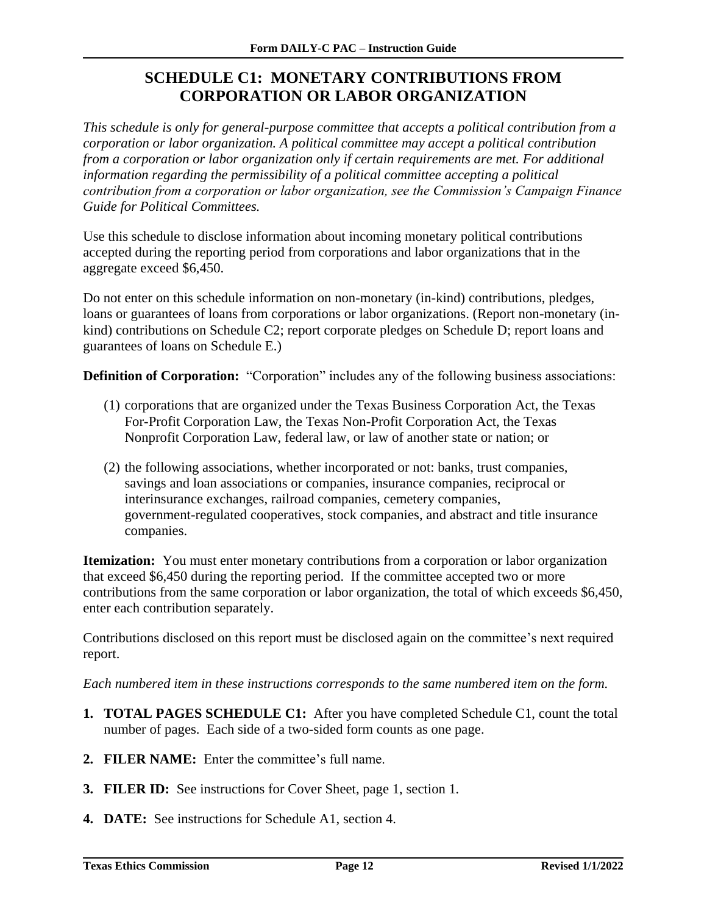## **SCHEDULE C1: MONETARY CONTRIBUTIONS FROM CORPORATION OR LABOR ORGANIZATION**

<span id="page-13-0"></span>*This schedule is only for general-purpose committee that accepts a political contribution from a corporation or labor organization. A political committee may accept a political contribution from a corporation or labor organization only if certain requirements are met. For additional information regarding the permissibility of a political committee accepting a political contribution from a corporation or labor organization, see the Commission's Campaign Finance Guide for Political Committees.*

Use this schedule to disclose information about incoming monetary political contributions accepted during the reporting period from corporations and labor organizations that in the aggregate exceed \$6,450.

Do not enter on this schedule information on non-monetary (in-kind) contributions, pledges, loans or guarantees of loans from corporations or labor organizations. (Report non-monetary (inkind) contributions on Schedule C2; report corporate pledges on Schedule D; report loans and guarantees of loans on Schedule E.)

**Definition of Corporation:** "Corporation" includes any of the following business associations:

- (1) corporations that are organized under the Texas Business Corporation Act, the Texas For-Profit Corporation Law, the Texas Non-Profit Corporation Act, the Texas Nonprofit Corporation Law, federal law, or law of another state or nation; or
- (2) the following associations, whether incorporated or not: banks, trust companies, savings and loan associations or companies, insurance companies, reciprocal or interinsurance exchanges, railroad companies, cemetery companies, government-regulated cooperatives, stock companies, and abstract and title insurance companies.

**Itemization:** You must enter monetary contributions from a corporation or labor organization that exceed \$6,450 during the reporting period. If the committee accepted two or more contributions from the same corporation or labor organization, the total of which exceeds \$6,450, enter each contribution separately.

Contributions disclosed on this report must be disclosed again on the committee's next required report.

- **1. TOTAL PAGES SCHEDULE C1:** After you have completed Schedule C1, count the total number of pages. Each side of a two-sided form counts as one page.
- **2. FILER NAME:** Enter the committee's full name.
- **3. FILER ID:** See instructions for Cover Sheet, page 1, section 1*.*
- **4. DATE:** See instructions for Schedule A1, section 4.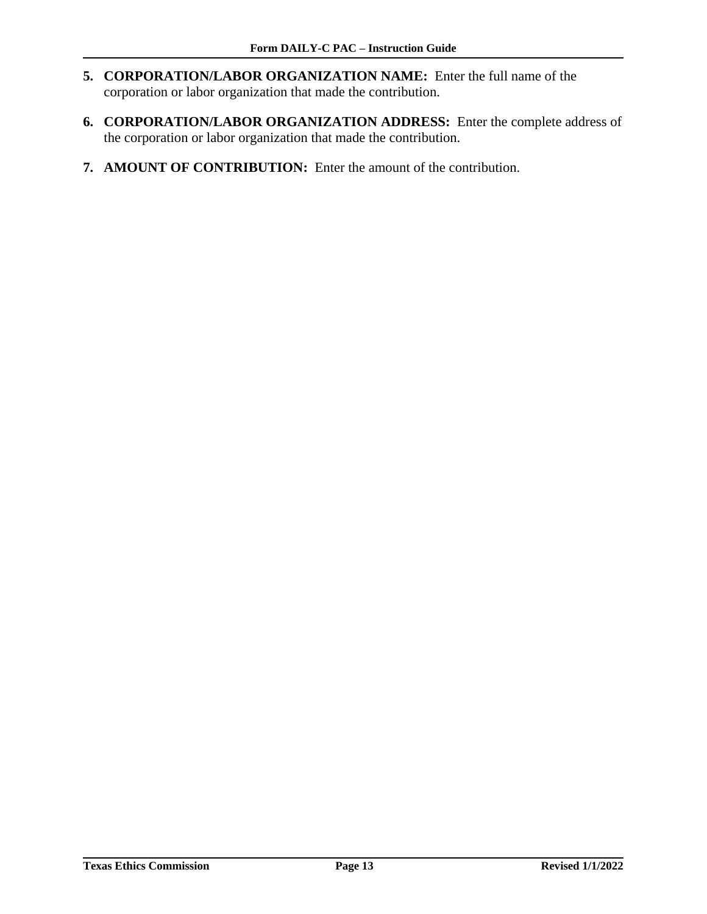- **5. CORPORATION/LABOR ORGANIZATION NAME:** Enter the full name of the corporation or labor organization that made the contribution.
- **6. CORPORATION/LABOR ORGANIZATION ADDRESS:** Enter the complete address of the corporation or labor organization that made the contribution.
- **7. AMOUNT OF CONTRIBUTION:** Enter the amount of the contribution.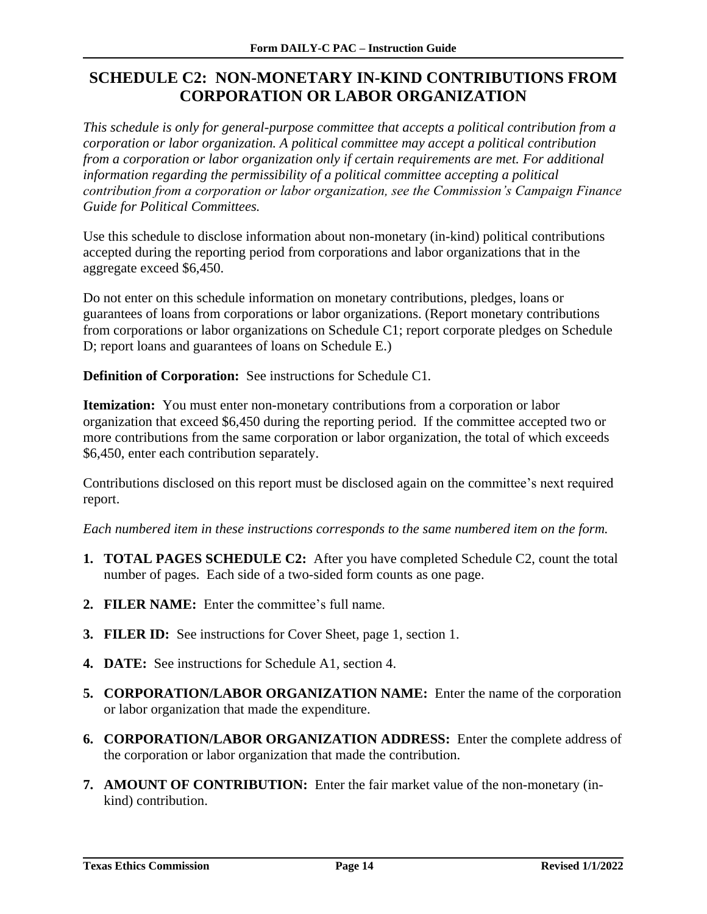## <span id="page-15-0"></span>**SCHEDULE C2: NON-MONETARY IN-KIND CONTRIBUTIONS FROM CORPORATION OR LABOR ORGANIZATION**

*This schedule is only for general-purpose committee that accepts a political contribution from a corporation or labor organization. A political committee may accept a political contribution from a corporation or labor organization only if certain requirements are met. For additional information regarding the permissibility of a political committee accepting a political contribution from a corporation or labor organization, see the Commission's Campaign Finance Guide for Political Committees.*

Use this schedule to disclose information about non-monetary (in-kind) political contributions accepted during the reporting period from corporations and labor organizations that in the aggregate exceed \$6,450.

Do not enter on this schedule information on monetary contributions, pledges, loans or guarantees of loans from corporations or labor organizations. (Report monetary contributions from corporations or labor organizations on Schedule C1; report corporate pledges on Schedule D; report loans and guarantees of loans on Schedule E.)

**Definition of Corporation:** See instructions for Schedule C1*.*

**Itemization:** You must enter non-monetary contributions from a corporation or labor organization that exceed \$6,450 during the reporting period. If the committee accepted two or more contributions from the same corporation or labor organization, the total of which exceeds \$6,450, enter each contribution separately.

Contributions disclosed on this report must be disclosed again on the committee's next required report.

- **1. TOTAL PAGES SCHEDULE C2:** After you have completed Schedule C2, count the total number of pages. Each side of a two-sided form counts as one page.
- **2. FILER NAME:** Enter the committee's full name.
- **3. FILER ID:** See instructions for Cover Sheet, page 1, section 1.
- **4. DATE:** See instructions for Schedule A1, section 4.
- **5. CORPORATION/LABOR ORGANIZATION NAME:** Enter the name of the corporation or labor organization that made the expenditure.
- **6. CORPORATION/LABOR ORGANIZATION ADDRESS:** Enter the complete address of the corporation or labor organization that made the contribution.
- **7. AMOUNT OF CONTRIBUTION:** Enter the fair market value of the non-monetary (inkind) contribution.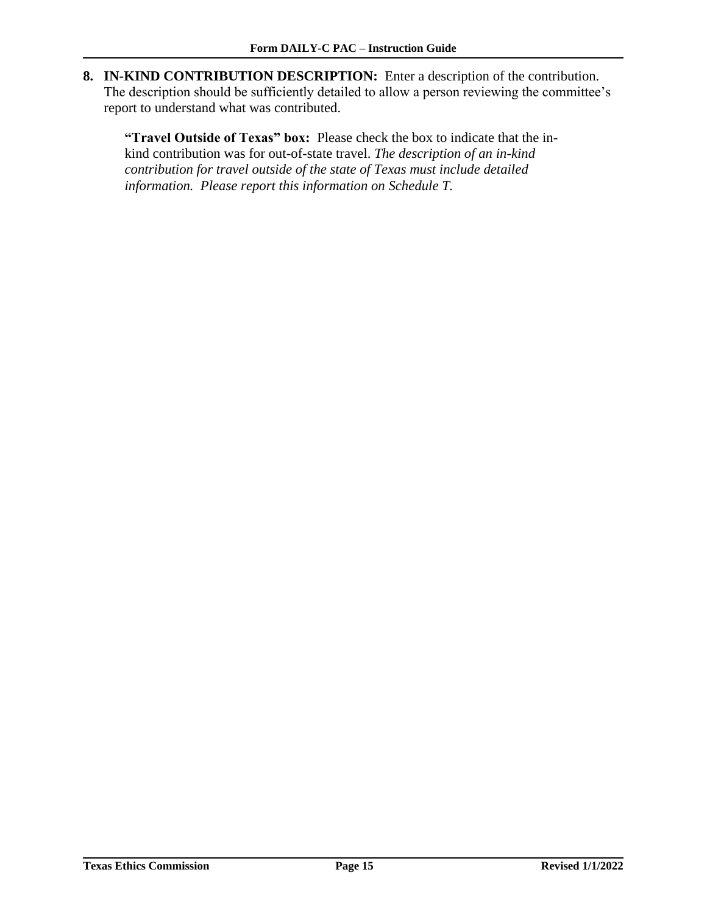**8. IN-KIND CONTRIBUTION DESCRIPTION:** Enter a description of the contribution. The description should be sufficiently detailed to allow a person reviewing the committee's report to understand what was contributed.

**"Travel Outside of Texas" box:** Please check the box to indicate that the inkind contribution was for out-of-state travel. *The description of an in-kind contribution for travel outside of the state of Texas must include detailed information. Please report this information on Schedule T.*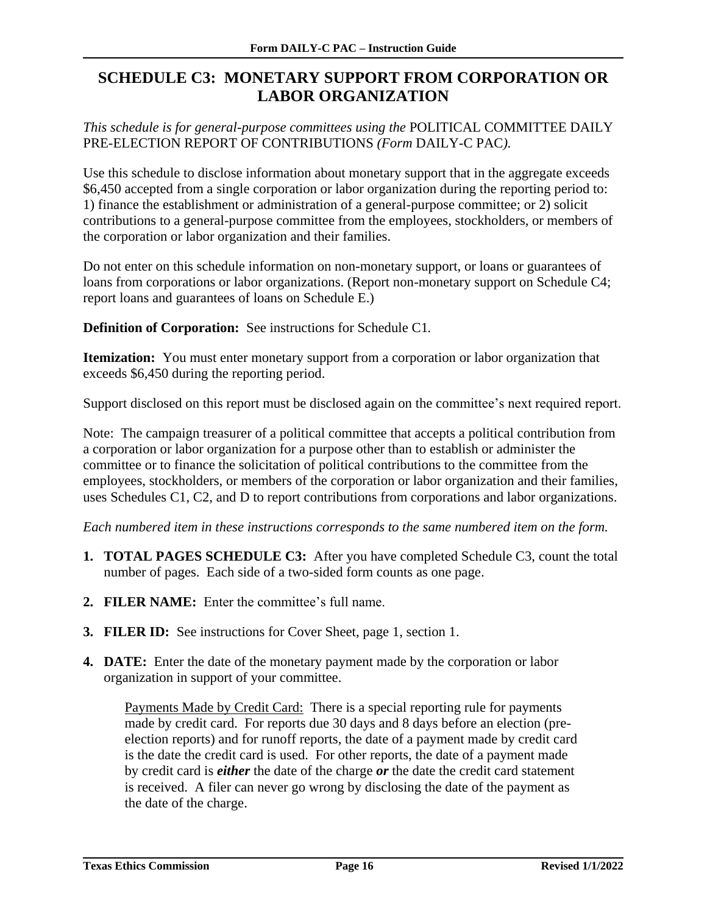## <span id="page-17-0"></span>**SCHEDULE C3: MONETARY SUPPORT FROM CORPORATION OR LABOR ORGANIZATION**

*This schedule is for general-purpose committees using the* POLITICAL COMMITTEE DAILY PRE-ELECTION REPORT OF CONTRIBUTIONS *(Form* DAILY-C PAC*).*

Use this schedule to disclose information about monetary support that in the aggregate exceeds \$6,450 accepted from a single corporation or labor organization during the reporting period to: 1) finance the establishment or administration of a general-purpose committee; or 2) solicit contributions to a general-purpose committee from the employees, stockholders, or members of the corporation or labor organization and their families.

Do not enter on this schedule information on non-monetary support, or loans or guarantees of loans from corporations or labor organizations. (Report non-monetary support on Schedule C4; report loans and guarantees of loans on Schedule E.)

**Definition of Corporation:** See instructions for Schedule C1*.*

**Itemization:** You must enter monetary support from a corporation or labor organization that exceeds \$6,450 during the reporting period.

Support disclosed on this report must be disclosed again on the committee's next required report.

Note: The campaign treasurer of a political committee that accepts a political contribution from a corporation or labor organization for a purpose other than to establish or administer the committee or to finance the solicitation of political contributions to the committee from the employees, stockholders, or members of the corporation or labor organization and their families, uses Schedules C1, C2, and D to report contributions from corporations and labor organizations.

*Each numbered item in these instructions corresponds to the same numbered item on the form.*

- **1. TOTAL PAGES SCHEDULE C3:** After you have completed Schedule C3, count the total number of pages. Each side of a two-sided form counts as one page.
- **2. FILER NAME:** Enter the committee's full name.
- **3. FILER ID:** See instructions for Cover Sheet, page 1, section 1.
- **4. DATE:** Enter the date of the monetary payment made by the corporation or labor organization in support of your committee.

Payments Made by Credit Card:There is a special reporting rule for payments made by credit card. For reports due 30 days and 8 days before an election (preelection reports) and for runoff reports, the date of a payment made by credit card is the date the credit card is used. For other reports, the date of a payment made by credit card is *either* the date of the charge *or* the date the credit card statement is received. A filer can never go wrong by disclosing the date of the payment as the date of the charge.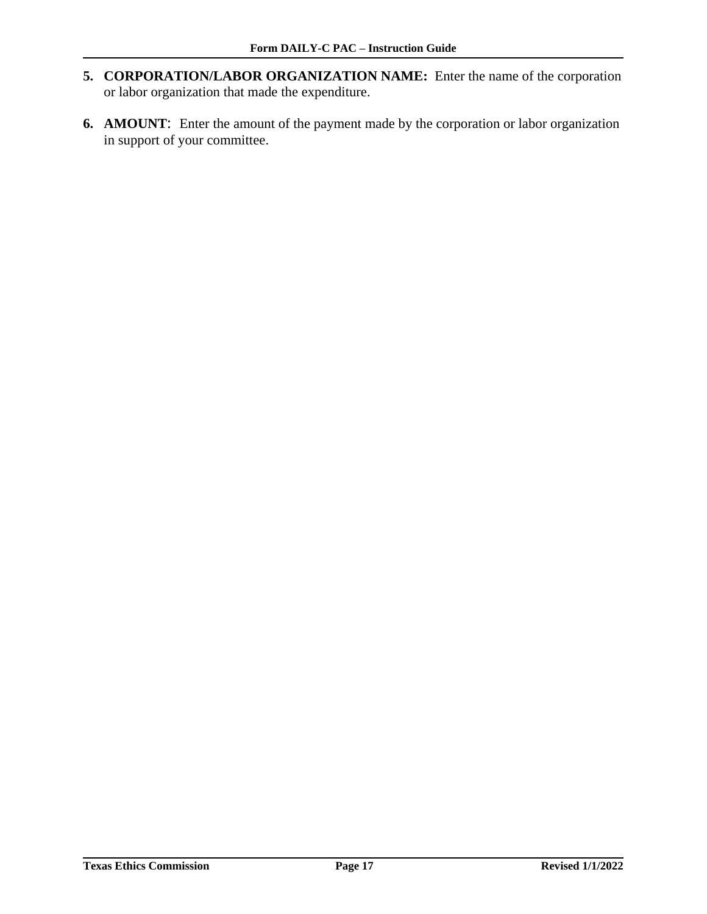- **5. CORPORATION/LABOR ORGANIZATION NAME:** Enter the name of the corporation or labor organization that made the expenditure.
- **6. AMOUNT**: Enter the amount of the payment made by the corporation or labor organization in support of your committee.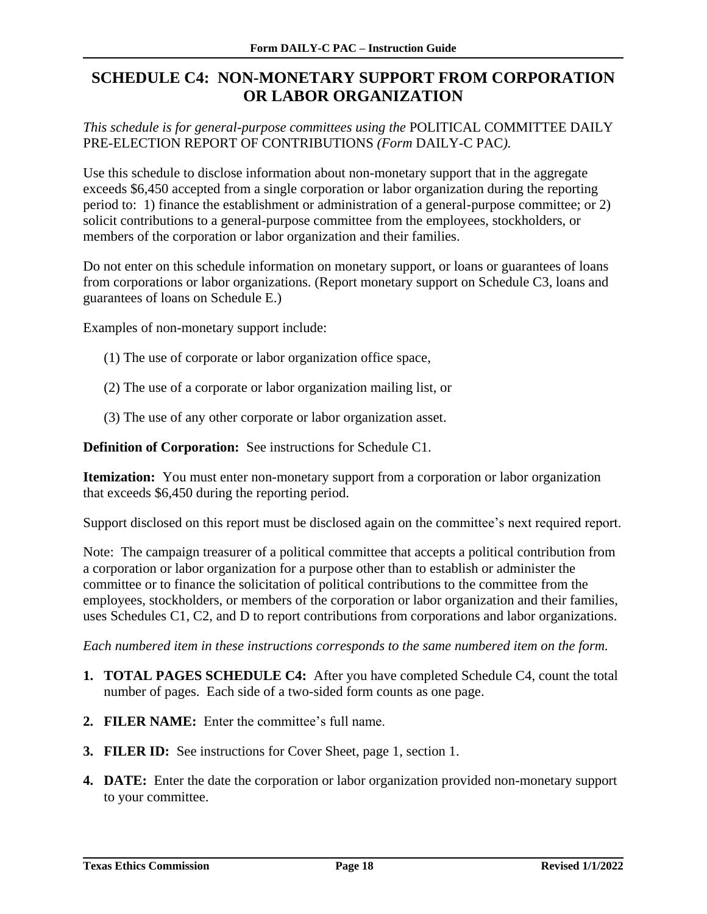## <span id="page-19-0"></span>**SCHEDULE C4: NON-MONETARY SUPPORT FROM CORPORATION OR LABOR ORGANIZATION**

*This schedule is for general-purpose committees using the* POLITICAL COMMITTEE DAILY PRE-ELECTION REPORT OF CONTRIBUTIONS *(Form* DAILY-C PAC*).*

Use this schedule to disclose information about non-monetary support that in the aggregate exceeds \$6,450 accepted from a single corporation or labor organization during the reporting period to: 1) finance the establishment or administration of a general-purpose committee; or 2) solicit contributions to a general-purpose committee from the employees, stockholders, or members of the corporation or labor organization and their families.

Do not enter on this schedule information on monetary support, or loans or guarantees of loans from corporations or labor organizations. (Report monetary support on Schedule C3, loans and guarantees of loans on Schedule E.)

Examples of non-monetary support include:

- (1) The use of corporate or labor organization office space,
- (2) The use of a corporate or labor organization mailing list, or
- (3) The use of any other corporate or labor organization asset.

**Definition of Corporation:** See instructions for Schedule C1.

**Itemization:** You must enter non-monetary support from a corporation or labor organization that exceeds \$6,450 during the reporting period.

Support disclosed on this report must be disclosed again on the committee's next required report.

Note: The campaign treasurer of a political committee that accepts a political contribution from a corporation or labor organization for a purpose other than to establish or administer the committee or to finance the solicitation of political contributions to the committee from the employees, stockholders, or members of the corporation or labor organization and their families, uses Schedules C1, C2, and D to report contributions from corporations and labor organizations.

- **1. TOTAL PAGES SCHEDULE C4:** After you have completed Schedule C4, count the total number of pages. Each side of a two-sided form counts as one page.
- **2. FILER NAME:** Enter the committee's full name.
- **3. FILER ID:** See instructions for Cover Sheet, page 1, section 1.
- **4. DATE:** Enter the date the corporation or labor organization provided non-monetary support to your committee.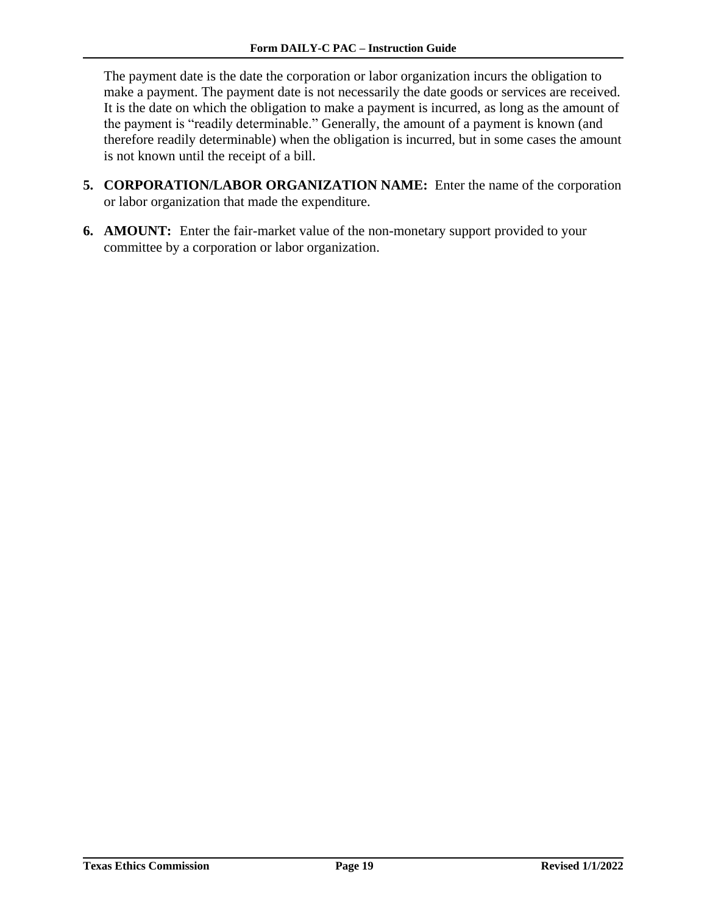The payment date is the date the corporation or labor organization incurs the obligation to make a payment. The payment date is not necessarily the date goods or services are received. It is the date on which the obligation to make a payment is incurred, as long as the amount of the payment is "readily determinable." Generally, the amount of a payment is known (and therefore readily determinable) when the obligation is incurred, but in some cases the amount is not known until the receipt of a bill.

- **5. CORPORATION/LABOR ORGANIZATION NAME:** Enter the name of the corporation or labor organization that made the expenditure.
- **6. AMOUNT:** Enter the fair-market value of the non-monetary support provided to your committee by a corporation or labor organization.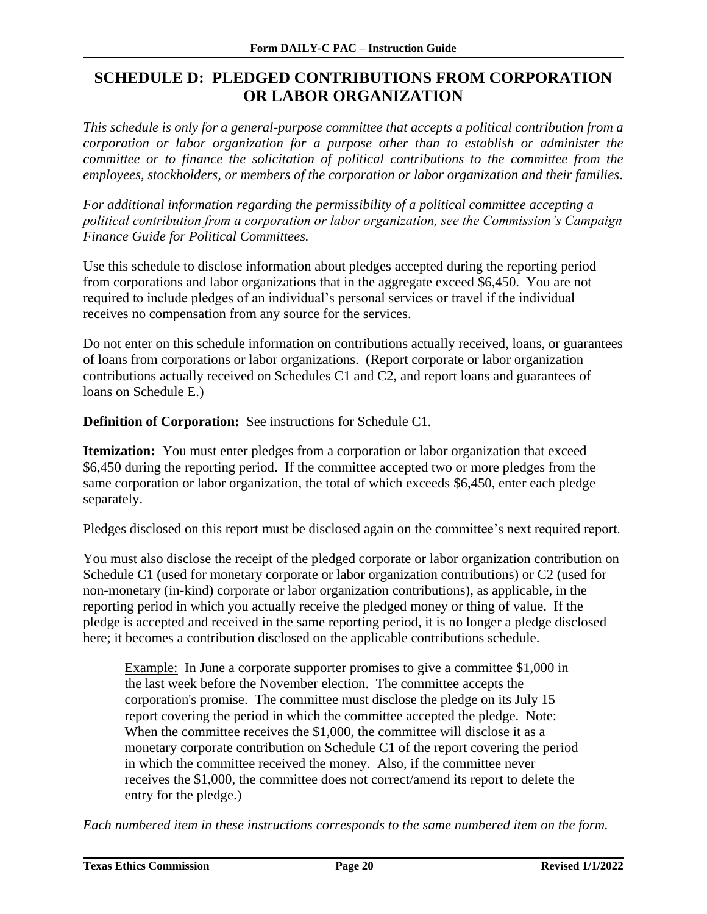## <span id="page-21-0"></span>**SCHEDULE D: PLEDGED CONTRIBUTIONS FROM CORPORATION OR LABOR ORGANIZATION**

*This schedule is only for a general-purpose committee that accepts a political contribution from a corporation or labor organization for a purpose other than to establish or administer the committee or to finance the solicitation of political contributions to the committee from the employees, stockholders, or members of the corporation or labor organization and their families*.

*For additional information regarding the permissibility of a political committee accepting a political contribution from a corporation or labor organization, see the Commission's Campaign Finance Guide for Political Committees.*

Use this schedule to disclose information about pledges accepted during the reporting period from corporations and labor organizations that in the aggregate exceed \$6,450. You are not required to include pledges of an individual's personal services or travel if the individual receives no compensation from any source for the services.

Do not enter on this schedule information on contributions actually received, loans, or guarantees of loans from corporations or labor organizations. (Report corporate or labor organization contributions actually received on Schedules C1 and C2, and report loans and guarantees of loans on Schedule E.)

**Definition of Corporation:** See instructions for Schedule C1*.*

**Itemization:** You must enter pledges from a corporation or labor organization that exceed \$6,450 during the reporting period. If the committee accepted two or more pledges from the same corporation or labor organization, the total of which exceeds \$6,450, enter each pledge separately.

Pledges disclosed on this report must be disclosed again on the committee's next required report.

You must also disclose the receipt of the pledged corporate or labor organization contribution on Schedule C1 (used for monetary corporate or labor organization contributions) or C2 (used for non-monetary (in-kind) corporate or labor organization contributions), as applicable, in the reporting period in which you actually receive the pledged money or thing of value. If the pledge is accepted and received in the same reporting period, it is no longer a pledge disclosed here; it becomes a contribution disclosed on the applicable contributions schedule.

Example: In June a corporate supporter promises to give a committee \$1,000 in the last week before the November election. The committee accepts the corporation's promise. The committee must disclose the pledge on its July 15 report covering the period in which the committee accepted the pledge. Note: When the committee receives the \$1,000, the committee will disclose it as a monetary corporate contribution on Schedule C1 of the report covering the period in which the committee received the money. Also, if the committee never receives the \$1,000, the committee does not correct/amend its report to delete the entry for the pledge.)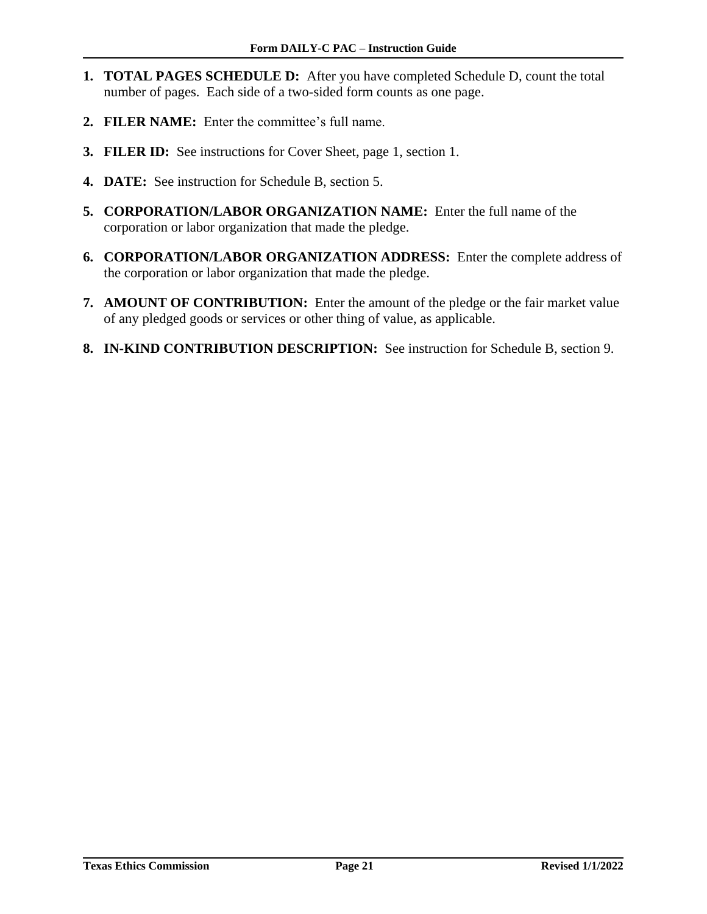- **1. TOTAL PAGES SCHEDULE D:** After you have completed Schedule D, count the total number of pages. Each side of a two-sided form counts as one page.
- **2. FILER NAME:** Enter the committee's full name.
- **3. FILER ID:** See instructions for Cover Sheet, page 1, section 1.
- **4. DATE:** See instruction for Schedule B, section 5.
- **5. CORPORATION/LABOR ORGANIZATION NAME:** Enter the full name of the corporation or labor organization that made the pledge.
- **6. CORPORATION/LABOR ORGANIZATION ADDRESS:** Enter the complete address of the corporation or labor organization that made the pledge.
- **7. AMOUNT OF CONTRIBUTION:** Enter the amount of the pledge or the fair market value of any pledged goods or services or other thing of value, as applicable.
- **8. IN-KIND CONTRIBUTION DESCRIPTION:** See instruction for Schedule B, section 9.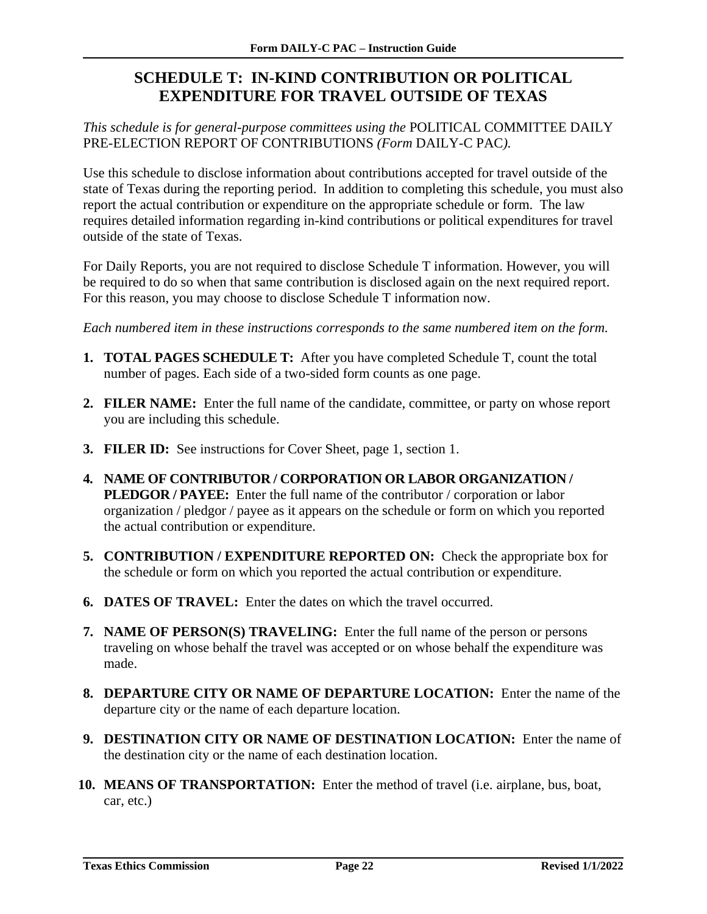## <span id="page-23-0"></span>**SCHEDULE T: IN-KIND CONTRIBUTION OR POLITICAL EXPENDITURE FOR TRAVEL OUTSIDE OF TEXAS**

*This schedule is for general-purpose committees using the* POLITICAL COMMITTEE DAILY PRE-ELECTION REPORT OF CONTRIBUTIONS *(Form* DAILY-C PAC*).*

Use this schedule to disclose information about contributions accepted for travel outside of the state of Texas during the reporting period. In addition to completing this schedule, you must also report the actual contribution or expenditure on the appropriate schedule or form. The law requires detailed information regarding in-kind contributions or political expenditures for travel outside of the state of Texas.

For Daily Reports, you are not required to disclose Schedule T information. However, you will be required to do so when that same contribution is disclosed again on the next required report. For this reason, you may choose to disclose Schedule T information now.

- **1. TOTAL PAGES SCHEDULE T:** After you have completed Schedule T, count the total number of pages. Each side of a two-sided form counts as one page.
- **2. FILER NAME:** Enter the full name of the candidate, committee, or party on whose report you are including this schedule.
- **3. FILER ID:** See instructions for Cover Sheet, page 1, section 1.
- **4. NAME OF CONTRIBUTOR / CORPORATION OR LABOR ORGANIZATION / PLEDGOR / PAYEE:** Enter the full name of the contributor / corporation or labor organization / pledgor / payee as it appears on the schedule or form on which you reported the actual contribution or expenditure.
- **5. CONTRIBUTION / EXPENDITURE REPORTED ON:** Check the appropriate box for the schedule or form on which you reported the actual contribution or expenditure.
- **6. DATES OF TRAVEL:** Enter the dates on which the travel occurred.
- **7. NAME OF PERSON(S) TRAVELING:** Enter the full name of the person or persons traveling on whose behalf the travel was accepted or on whose behalf the expenditure was made.
- **8. DEPARTURE CITY OR NAME OF DEPARTURE LOCATION:** Enter the name of the departure city or the name of each departure location.
- **9. DESTINATION CITY OR NAME OF DESTINATION LOCATION:** Enter the name of the destination city or the name of each destination location.
- **10. MEANS OF TRANSPORTATION:** Enter the method of travel (i.e. airplane, bus, boat, car, etc.)